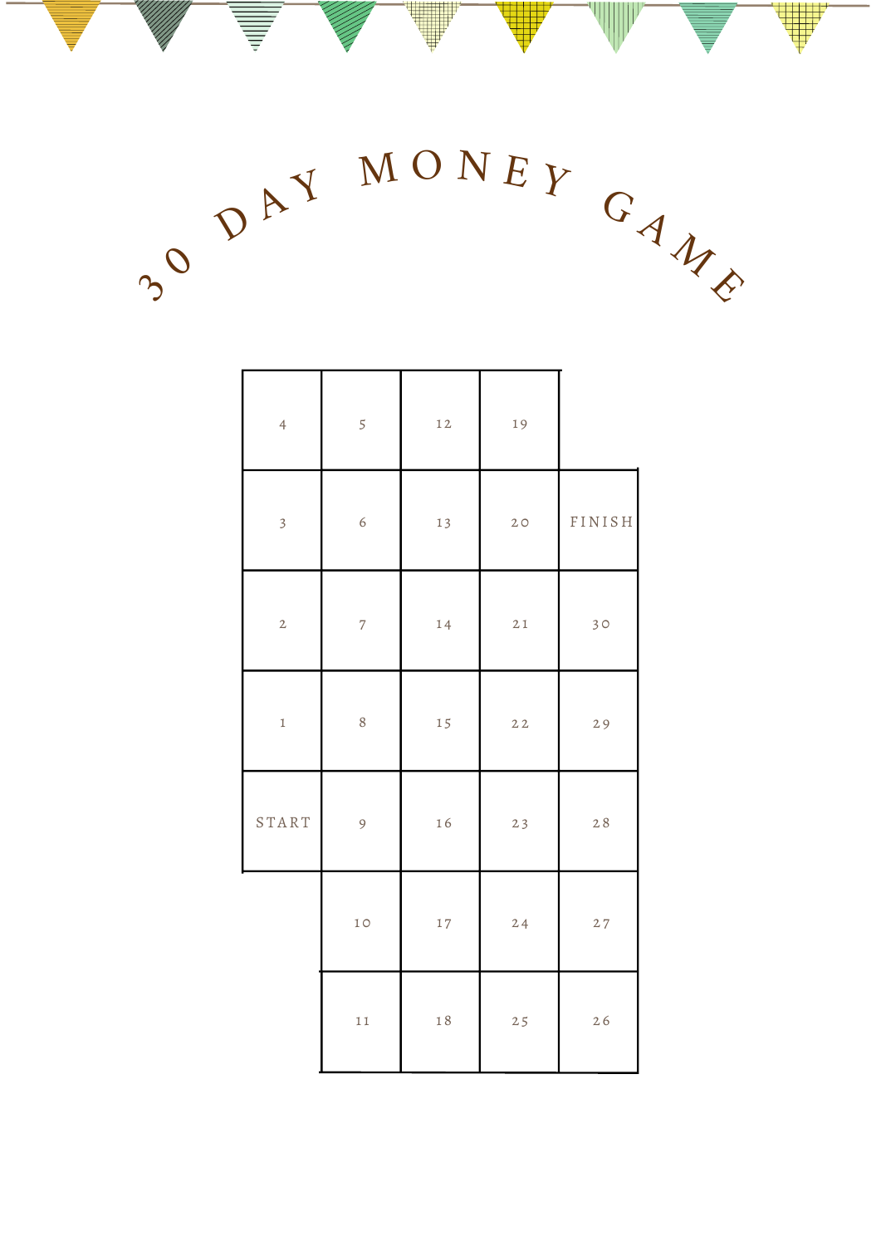$3^{\circ}$  $\mathcal{D}$ AY MONEY GAME

|  | $\overline{4}$          | 5              | 12     | 19 |        |
|--|-------------------------|----------------|--------|----|--------|
|  | $\overline{\mathbf{3}}$ | $\epsilon$     | 13     | 20 | FINISH |
|  | $\overline{c}$          | $\overline{7}$ | 14     | 21 | 30     |
|  | $\mathbbm{1}$           | 8              | 15     | 22 | 29     |
|  | START                   | 9              | 16     | 23 | 28     |
|  |                         | 1 <sub>O</sub> | $1\,7$ | 24 | $2\,7$ |
|  |                         | 11             | $1\,8$ | 25 | 26     |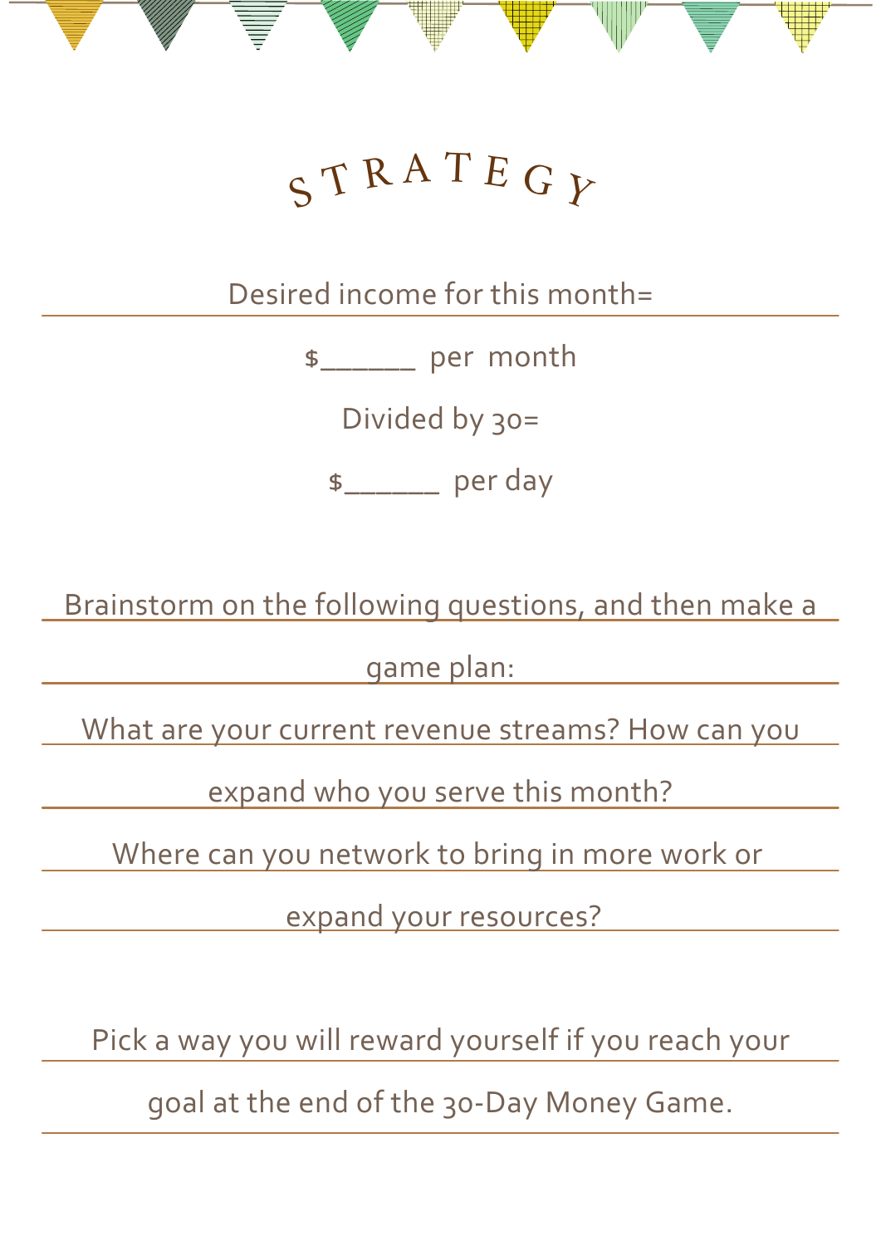# $S T R A T E G$

Desired income for this month=

\$\_\_\_\_\_\_ per month

Divided by 30=

\$\_\_\_\_\_\_ per day

Brainstorm on the following questions, and then make a

game plan:

What are your current revenue streams? How can you

expand who you serve this month?

Where can you network to bring in more work or

expand your resources?

Pick a way you will reward yourself if you reach your

goal at the end of the 30-Day Money Game.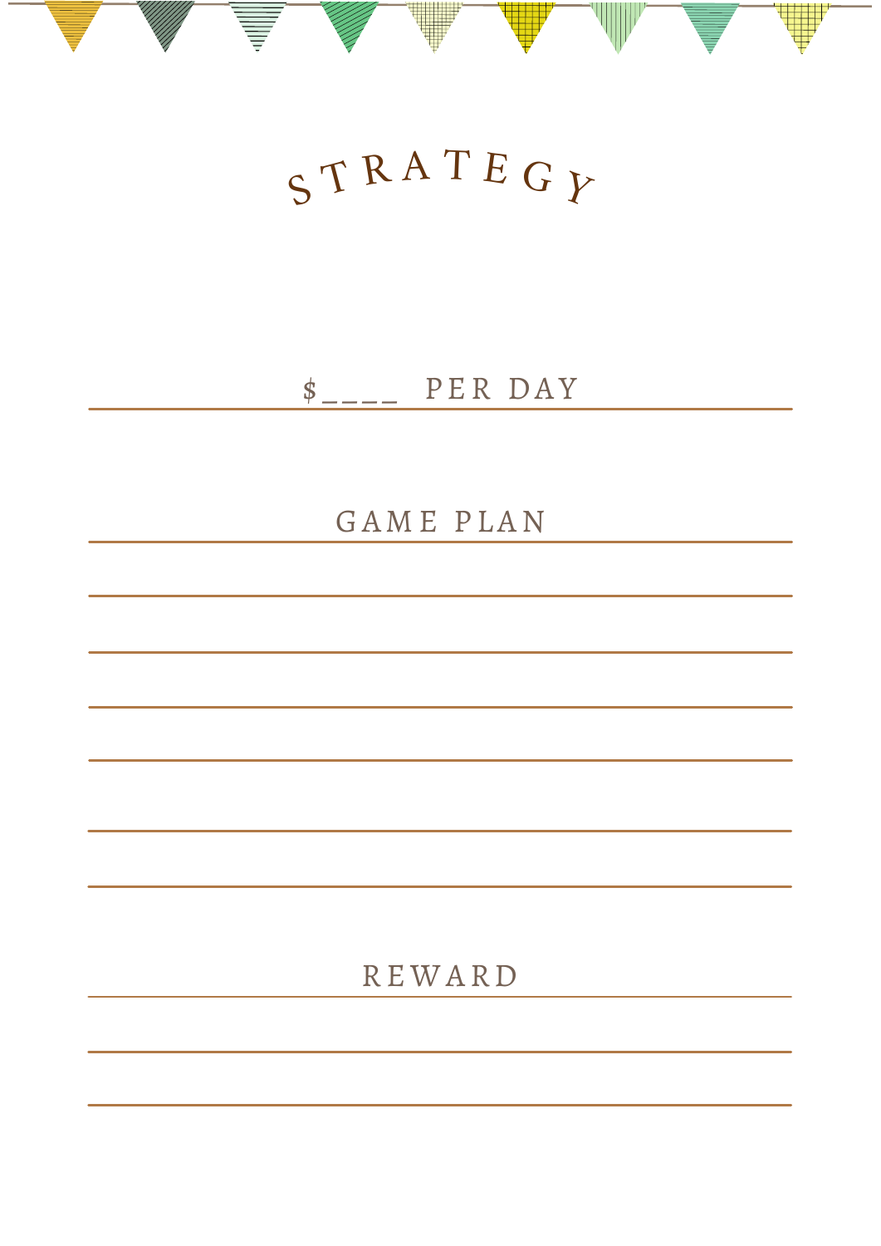# $S T R A T E G$

## $\sum_{n=-\infty}^{\infty}$  PER DAY

### GAME PLAN

## **REWARD**